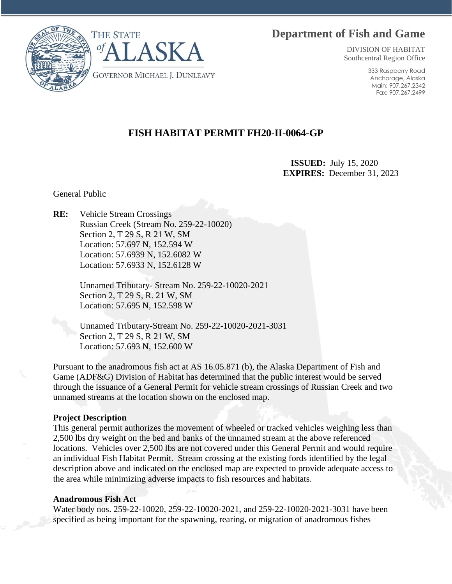# **Department of Fish and Game**



DIVISION OF HABITAT Southcentral Region Office

> 333 Raspberry Road Anchorage, Alaska Main: 907.267.2342 Fax: 907.267.2499

# **FISH HABITAT PERMIT FH20-II-0064-GP**

 **ISSUED:** July 15, 2020 **EXPIRES:** December 31, 2023

General Public

**RE:** Vehicle Stream Crossings Russian Creek (Stream No. 259-22-10020) Section 2, T 29 S, R 21 W, SM Location: 57.697 N, 152.594 W Location: 57.6939 N, 152.6082 W Location: 57.6933 N, 152.6128 W

> Unnamed Tributary- Stream No. 259-22-10020-2021 Section 2, T 29 S, R. 21 W, SM Location: 57.695 N, 152.598 W

Unnamed Tributary-Stream No. 259-22-10020-2021-3031 Section 2, T 29 S, R 21 W, SM Location: 57.693 N, 152.600 W

Pursuant to the anadromous fish act at AS 16.05.871 (b), the Alaska Department of Fish and Game (ADF&G) Division of Habitat has determined that the public interest would be served through the issuance of a General Permit for vehicle stream crossings of Russian Creek and two unnamed streams at the location shown on the enclosed map.

### **Project Description**

This general permit authorizes the movement of wheeled or tracked vehicles weighing less than 2,500 lbs dry weight on the bed and banks of the unnamed stream at the above referenced locations. Vehicles over 2,500 lbs are not covered under this General Permit and would require an individual Fish Habitat Permit. Stream crossing at the existing fords identified by the legal description above and indicated on the enclosed map are expected to provide adequate access to the area while minimizing adverse impacts to fish resources and habitats.

### **Anadromous Fish Act**

Water body nos. 259-22-10020, 259-22-10020-2021, and 259-22-10020-2021-3031 have been specified as being important for the spawning, rearing, or migration of anadromous fishes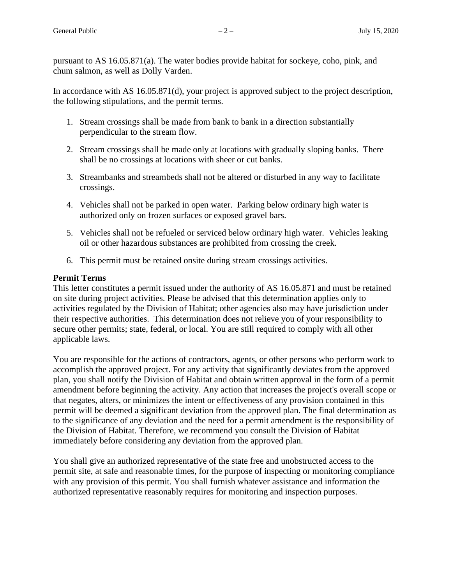pursuant to AS 16.05.871(a). The water bodies provide habitat for sockeye, coho, pink, and chum salmon, as well as Dolly Varden.

In accordance with AS 16.05.871(d), your project is approved subject to the project description, the following stipulations, and the permit terms.

- 1. Stream crossings shall be made from bank to bank in a direction substantially perpendicular to the stream flow.
- 2. Stream crossings shall be made only at locations with gradually sloping banks. There shall be no crossings at locations with sheer or cut banks.
- 3. Streambanks and streambeds shall not be altered or disturbed in any way to facilitate crossings.
- 4. Vehicles shall not be parked in open water. Parking below ordinary high water is authorized only on frozen surfaces or exposed gravel bars.
- 5. Vehicles shall not be refueled or serviced below ordinary high water. Vehicles leaking oil or other hazardous substances are prohibited from crossing the creek.
- 6. This permit must be retained onsite during stream crossings activities.

## **Permit Terms**

This letter constitutes a permit issued under the authority of AS 16.05.871 and must be retained on site during project activities. Please be advised that this determination applies only to activities regulated by the Division of Habitat; other agencies also may have jurisdiction under their respective authorities. This determination does not relieve you of your responsibility to secure other permits; state, federal, or local. You are still required to comply with all other applicable laws.

You are responsible for the actions of contractors, agents, or other persons who perform work to accomplish the approved project. For any activity that significantly deviates from the approved plan, you shall notify the Division of Habitat and obtain written approval in the form of a permit amendment before beginning the activity. Any action that increases the project's overall scope or that negates, alters, or minimizes the intent or effectiveness of any provision contained in this permit will be deemed a significant deviation from the approved plan. The final determination as to the significance of any deviation and the need for a permit amendment is the responsibility of the Division of Habitat. Therefore, we recommend you consult the Division of Habitat immediately before considering any deviation from the approved plan.

You shall give an authorized representative of the state free and unobstructed access to the permit site, at safe and reasonable times, for the purpose of inspecting or monitoring compliance with any provision of this permit. You shall furnish whatever assistance and information the authorized representative reasonably requires for monitoring and inspection purposes.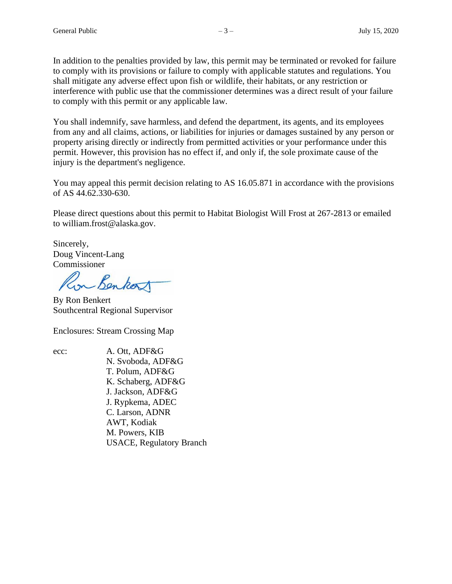In addition to the penalties provided by law, this permit may be terminated or revoked for failure to comply with its provisions or failure to comply with applicable statutes and regulations. You shall mitigate any adverse effect upon fish or wildlife, their habitats, or any restriction or interference with public use that the commissioner determines was a direct result of your failure to comply with this permit or any applicable law.

You shall indemnify, save harmless, and defend the department, its agents, and its employees from any and all claims, actions, or liabilities for injuries or damages sustained by any person or property arising directly or indirectly from permitted activities or your performance under this permit. However, this provision has no effect if, and only if, the sole proximate cause of the injury is the department's negligence.

You may appeal this permit decision relating to AS 16.05.871 in accordance with the provisions of AS 44.62.330-630.

Please direct questions about this permit to Habitat Biologist Will Frost at 267-2813 or emailed to william.frost@alaska.gov.

Sincerely, Doug Vincent-Lang Commissioner

in Benkor

By Ron Benkert Southcentral Regional Supervisor

Enclosures: Stream Crossing Map

ecc: A. Ott, ADF&G N. Svoboda, ADF&G T. Polum, ADF&G K. Schaberg, ADF&G J. Jackson, ADF&G J. Rypkema, ADEC C. Larson, ADNR AWT, Kodiak M. Powers, KIB USACE, Regulatory Branch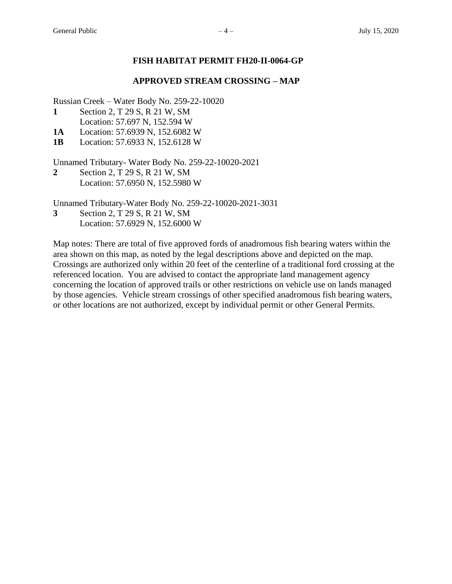### **FISH HABITAT PERMIT FH20-II-0064-GP**

### **APPROVED STREAM CROSSING – MAP**

Russian Creek – Water Body No. 259-22-10020

- **1** Section 2, T 29 S, R 21 W, SM Location: 57.697 N, 152.594 W
- **1A** Location: 57.6939 N, 152.6082 W

**1B** Location: 57.6933 N, 152.6128 W

Unnamed Tributary- Water Body No. 259-22-10020-2021

**2** Section 2, T 29 S, R 21 W, SM Location: 57.6950 N, 152.5980 W

Unnamed Tributary-Water Body No. 259-22-10020-2021-3031

**3** Section 2, T 29 S, R 21 W, SM Location: 57.6929 N, 152.6000 W

Map notes: There are total of five approved fords of anadromous fish bearing waters within the area shown on this map, as noted by the legal descriptions above and depicted on the map. Crossings are authorized only within 20 feet of the centerline of a traditional ford crossing at the referenced location. You are advised to contact the appropriate land management agency concerning the location of approved trails or other restrictions on vehicle use on lands managed by those agencies. Vehicle stream crossings of other specified anadromous fish bearing waters, or other locations are not authorized, except by individual permit or other General Permits.